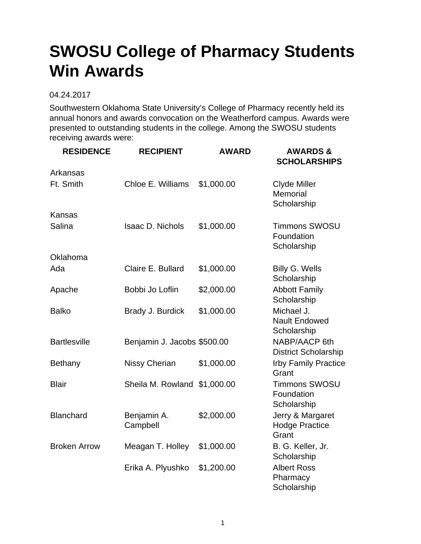## **SWOSU College of Pharmacy Students Win Awards**

## 04.24.2017

Southwestern Oklahoma State University's College of Pharmacy recently held its annual honors and awards convocation on the Weatherford campus. Awards were presented to outstanding students in the college. Among the SWOSU students receiving awards were:

| <b>RESIDENCE</b>    | <b>RECIPIENT</b>             | <b>AWARD</b> | <b>AWARDS &amp;</b><br><b>SCHOLARSHIPS</b>         |
|---------------------|------------------------------|--------------|----------------------------------------------------|
| Arkansas            |                              |              |                                                    |
| Ft. Smith           | Chloe E. Williams            | \$1,000.00   | <b>Clyde Miller</b><br>Memorial<br>Scholarship     |
| <b>Kansas</b>       |                              |              |                                                    |
| Salina              | <b>Isaac D. Nichols</b>      | \$1,000.00   | <b>Timmons SWOSU</b><br>Foundation<br>Scholarship  |
| Oklahoma            |                              |              |                                                    |
| Ada                 | Claire E. Bullard            | \$1,000.00   | Billy G. Wells<br>Scholarship                      |
| Apache              | Bobbi Jo Loflin              | \$2,000.00   | <b>Abbott Family</b><br>Scholarship                |
| <b>Balko</b>        | Brady J. Burdick             | \$1,000.00   | Michael J.<br><b>Nault Endowed</b><br>Scholarship  |
| <b>Bartlesville</b> | Benjamin J. Jacobs \$500.00  |              | NABP/AACP 6th<br><b>District Scholarship</b>       |
| Bethany             | <b>Nissy Cherian</b>         | \$1,000.00   | <b>Irby Family Practice</b><br>Grant               |
| <b>Blair</b>        | Sheila M. Rowland \$1,000.00 |              | <b>Timmons SWOSU</b><br>Foundation<br>Scholarship  |
| <b>Blanchard</b>    | Benjamin A.<br>Campbell      | \$2,000.00   | Jerry & Margaret<br><b>Hodge Practice</b><br>Grant |
| <b>Broken Arrow</b> | Meagan T. Holley             | \$1,000.00   | B. G. Keller, Jr.<br>Scholarship                   |
|                     | Erika A. Plyushko            | \$1,200.00   | <b>Albert Ross</b><br>Pharmacy<br>Scholarship      |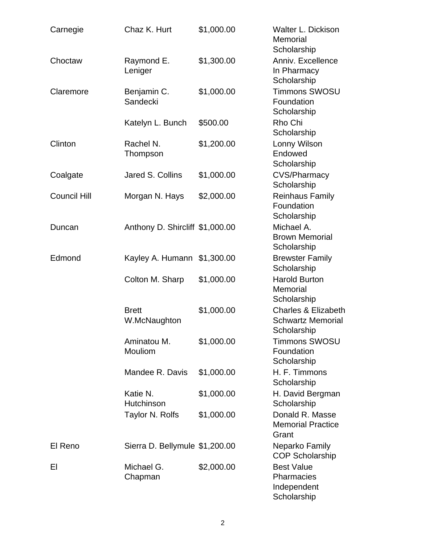| Carnegie            | Chaz K. Hurt                    | \$1,000.00 | Walter L. Dickison<br>Memorial<br>Scholarship                             |
|---------------------|---------------------------------|------------|---------------------------------------------------------------------------|
| Choctaw             | Raymond E.<br>Leniger           | \$1,300.00 | Anniv. Excellence<br>In Pharmacy<br>Scholarship                           |
| Claremore           | Benjamin C.<br>Sandecki         | \$1,000.00 | <b>Timmons SWOSU</b><br>Foundation<br>Scholarship                         |
|                     | Katelyn L. Bunch                | \$500.00   | Rho Chi<br>Scholarship                                                    |
| Clinton             | Rachel N.<br>Thompson           | \$1,200.00 | Lonny Wilson<br>Endowed<br>Scholarship                                    |
| Coalgate            | Jared S. Collins                | \$1,000.00 | <b>CVS/Pharmacy</b><br>Scholarship                                        |
| <b>Council Hill</b> | Morgan N. Hays                  | \$2,000.00 | <b>Reinhaus Family</b><br>Foundation<br>Scholarship                       |
| Duncan              | Anthony D. Shircliff \$1,000.00 |            | Michael A.<br><b>Brown Memorial</b><br>Scholarship                        |
| Edmond              | Kayley A. Humann                | \$1,300.00 | <b>Brewster Family</b><br>Scholarship                                     |
|                     | Colton M. Sharp                 | \$1,000.00 | <b>Harold Burton</b><br>Memorial<br>Scholarship                           |
|                     | <b>Brett</b><br>W.McNaughton    | \$1,000.00 | <b>Charles &amp; Elizabeth</b><br><b>Schwartz Memorial</b><br>Scholarship |
|                     | Aminatou M.<br>Mouliom          | \$1,000.00 | <b>Timmons SWOSU</b><br>Foundation<br>Scholarship                         |
|                     | Mandee R. Davis                 | \$1,000.00 | H. F. Timmons<br>Scholarship                                              |
|                     | Katie N.<br>Hutchinson          | \$1,000.00 | H. David Bergman<br>Scholarship                                           |
|                     | Taylor N. Rolfs                 | \$1,000.00 | Donald R. Masse<br><b>Memorial Practice</b><br>Grant                      |
| El Reno             | Sierra D. Bellymule \$1,200.00  |            | Neparko Family<br><b>COP Scholarship</b>                                  |
| EI                  | Michael G.<br>Chapman           | \$2,000.00 | <b>Best Value</b><br>Pharmacies<br>Independent<br>Scholarship             |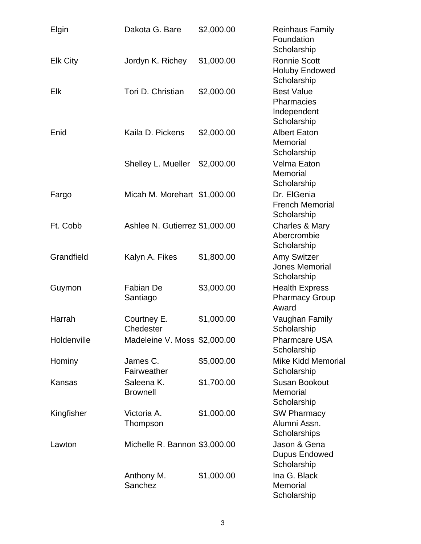| Elgin           | Dakota G. Bare                 | \$2,000.00 | <b>Reinhaus Family</b><br>Foundation<br>Scholarship                  |
|-----------------|--------------------------------|------------|----------------------------------------------------------------------|
| <b>Elk City</b> | Jordyn K. Richey               | \$1,000.00 | <b>Ronnie Scott</b><br><b>Holuby Endowed</b><br>Scholarship          |
| Elk             | Tori D. Christian              | \$2,000.00 | <b>Best Value</b><br><b>Pharmacies</b><br>Independent<br>Scholarship |
| Enid            | Kaila D. Pickens               | \$2,000.00 | <b>Albert Eaton</b><br>Memorial<br>Scholarship                       |
|                 | Shelley L. Mueller             | \$2,000.00 | Velma Eaton<br>Memorial<br>Scholarship                               |
| Fargo           | Micah M. Morehart \$1,000.00   |            | Dr. ElGenia<br><b>French Memorial</b><br>Scholarship                 |
| Ft. Cobb        | Ashlee N. Gutierrez \$1,000.00 |            | Charles & Mary<br>Abercrombie<br>Scholarship                         |
| Grandfield      | Kalyn A. Fikes                 | \$1,800.00 | <b>Amy Switzer</b><br><b>Jones Memorial</b><br>Scholarship           |
| Guymon          | Fabian De<br>Santiago          | \$3,000.00 | <b>Health Express</b><br><b>Pharmacy Group</b><br>Award              |
| Harrah          | Courtney E.<br>Chedester       | \$1,000.00 | Vaughan Family<br>Scholarship                                        |
| Holdenville     | Madeleine V. Moss \$2,000.00   |            | <b>Pharmcare USA</b><br>Scholarship                                  |
| Hominy          | James C.<br>Fairweather        | \$5,000.00 | <b>Mike Kidd Memorial</b><br>Scholarship                             |
| Kansas          | Saleena K.<br><b>Brownell</b>  | \$1,700.00 | <b>Susan Bookout</b><br>Memorial<br>Scholarship                      |
| Kingfisher      | Victoria A.<br>Thompson        | \$1,000.00 | <b>SW Pharmacy</b><br>Alumni Assn.<br>Scholarships                   |
| Lawton          | Michelle R. Bannon \$3,000.00  |            | Jason & Gena<br><b>Dupus Endowed</b><br>Scholarship                  |
|                 | Anthony M.<br>Sanchez          | \$1,000.00 | Ina G. Black<br>Memorial<br>Scholarship                              |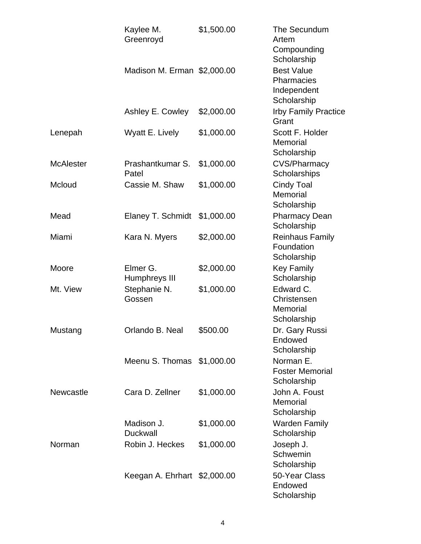|                  | Kaylee M.<br>Greenroyd        | \$1,500.00 | The Secundum<br>Artem<br>Compounding<br>Scholarship           |
|------------------|-------------------------------|------------|---------------------------------------------------------------|
|                  | Madison M. Erman \$2,000.00   |            | <b>Best Value</b><br>Pharmacies<br>Independent<br>Scholarship |
|                  | Ashley E. Cowley              | \$2,000.00 | <b>Irby Family Practice</b><br>Grant                          |
| Lenepah          | Wyatt E. Lively               | \$1,000.00 | Scott F. Holder<br>Memorial<br>Scholarship                    |
| <b>McAlester</b> | Prashantkumar S.<br>Patel     | \$1,000.00 | <b>CVS/Pharmacy</b><br>Scholarships                           |
| Mcloud           | Cassie M. Shaw                | \$1,000.00 | <b>Cindy Toal</b><br>Memorial<br>Scholarship                  |
| Mead             | Elaney T. Schmidt             | \$1,000.00 | <b>Pharmacy Dean</b><br>Scholarship                           |
| Miami            | Kara N. Myers                 | \$2,000.00 | <b>Reinhaus Family</b><br>Foundation<br>Scholarship           |
| Moore            | Elmer G.<br>Humphreys III     | \$2,000.00 | <b>Key Family</b><br>Scholarship                              |
| Mt. View         | Stephanie N.<br>Gossen        | \$1,000.00 | Edward C.<br>Christensen<br>Memorial<br>Scholarship           |
| Mustang          | Orlando B. Neal               | \$500.00   | Dr. Gary Russi<br>Endowed<br>Scholarship                      |
|                  | Meenu S. Thomas               | \$1,000.00 | Norman E.<br><b>Foster Memorial</b><br>Scholarship            |
| <b>Newcastle</b> | Cara D. Zellner               | \$1,000.00 | John A. Foust<br>Memorial<br>Scholarship                      |
|                  | Madison J.<br><b>Duckwall</b> | \$1,000.00 | <b>Warden Family</b><br>Scholarship                           |
| Norman           | Robin J. Heckes               | \$1,000.00 | Joseph J.<br>Schwemin<br>Scholarship                          |
|                  | Keegan A. Ehrhart \$2,000.00  |            | 50-Year Class<br>Endowed<br>Scholarship                       |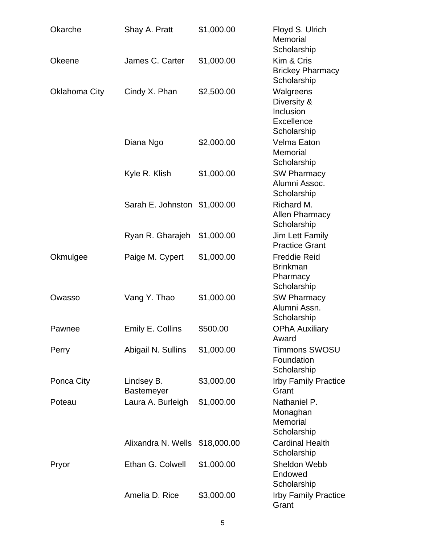| Okarche              | Shay A. Pratt                   | \$1,000.00  | Floyd S. Ulrich<br>Memorial<br>Scholarship                         |
|----------------------|---------------------------------|-------------|--------------------------------------------------------------------|
| <b>Okeene</b>        | James C. Carter                 | \$1,000.00  | Kim & Cris<br><b>Brickey Pharmacy</b><br>Scholarship               |
| <b>Oklahoma City</b> | Cindy X. Phan                   | \$2,500.00  | Walgreens<br>Diversity &<br>Inclusion<br>Excellence<br>Scholarship |
|                      | Diana Ngo                       | \$2,000.00  | Velma Eaton<br>Memorial<br>Scholarship                             |
|                      | Kyle R. Klish                   | \$1,000.00  | <b>SW Pharmacy</b><br>Alumni Assoc.<br>Scholarship                 |
|                      | Sarah E. Johnston               | \$1,000.00  | Richard M.<br><b>Allen Pharmacy</b><br>Scholarship                 |
|                      | Ryan R. Gharajeh                | \$1,000.00  | Jim Lett Family<br><b>Practice Grant</b>                           |
| Okmulgee             | Paige M. Cypert                 | \$1,000.00  | <b>Freddie Reid</b><br><b>Brinkman</b><br>Pharmacy<br>Scholarship  |
| Owasso               | Vang Y. Thao                    | \$1,000.00  | <b>SW Pharmacy</b><br>Alumni Assn.<br>Scholarship                  |
| Pawnee               | Emily E. Collins                | \$500.00    | <b>OPhA Auxiliary</b><br>Award                                     |
| Perry                | Abigail N. Sullins              | \$1,000.00  | <b>Timmons SWOSU</b><br>Foundation<br>Scholarship                  |
| Ponca City           | Lindsey B.<br><b>Bastemeyer</b> | \$3,000.00  | <b>Irby Family Practice</b><br>Grant                               |
| Poteau               | Laura A. Burleigh               | \$1,000.00  | Nathaniel P.<br>Monaghan<br>Memorial<br>Scholarship                |
|                      | Alixandra N. Wells              | \$18,000.00 | <b>Cardinal Health</b><br>Scholarship                              |
| Pryor                | Ethan G. Colwell                | \$1,000.00  | Sheldon Webb<br>Endowed<br>Scholarship                             |
|                      | Amelia D. Rice                  | \$3,000.00  | <b>Irby Family Practice</b><br>Grant                               |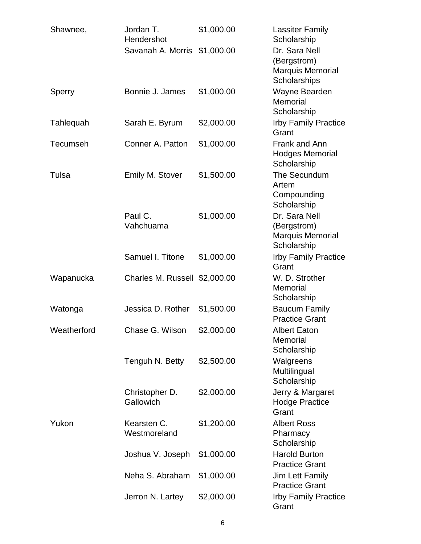| Shawnee,        | Jordan T.<br>Hendershot       | \$1,000.00 | <b>Lassiter Family</b><br>Scholarship                                   |
|-----------------|-------------------------------|------------|-------------------------------------------------------------------------|
|                 | Savanah A. Morris \$1,000.00  |            | Dr. Sara Nell<br>(Bergstrom)<br><b>Marquis Memorial</b><br>Scholarships |
| Sperry          | Bonnie J. James               | \$1,000.00 | Wayne Bearden<br>Memorial<br>Scholarship                                |
| Tahlequah       | Sarah E. Byrum                | \$2,000.00 | <b>Irby Family Practice</b><br>Grant                                    |
| <b>Tecumseh</b> | Conner A. Patton              | \$1,000.00 | Frank and Ann<br><b>Hodges Memorial</b><br>Scholarship                  |
| Tulsa           | Emily M. Stover               | \$1,500.00 | The Secundum<br>Artem<br>Compounding<br>Scholarship                     |
|                 | Paul C.<br>Vahchuama          | \$1,000.00 | Dr. Sara Nell<br>(Bergstrom)<br>Marquis Memorial<br>Scholarship         |
|                 | Samuel I. Titone              | \$1,000.00 | <b>Irby Family Practice</b><br>Grant                                    |
| Wapanucka       | Charles M. Russell \$2,000.00 |            | W. D. Strother<br>Memorial<br>Scholarship                               |
| Watonga         | Jessica D. Rother             | \$1,500.00 | <b>Baucum Family</b><br><b>Practice Grant</b>                           |
| Weatherford     | Chase G. Wilson               | \$2,000.00 | <b>Albert Eaton</b><br>Memorial<br>Scholarship                          |
|                 | Tenguh N. Betty               | \$2,500.00 | Walgreens<br>Multilingual<br>Scholarship                                |
|                 | Christopher D.<br>Gallowich   | \$2,000.00 | Jerry & Margaret<br><b>Hodge Practice</b><br>Grant                      |
| Yukon           | Kearsten C.<br>Westmoreland   | \$1,200.00 | <b>Albert Ross</b><br>Pharmacy<br>Scholarship                           |
|                 | Joshua V. Joseph              | \$1,000.00 | <b>Harold Burton</b><br><b>Practice Grant</b>                           |
|                 | Neha S. Abraham               | \$1,000.00 | <b>Jim Lett Family</b><br><b>Practice Grant</b>                         |
|                 | Jerron N. Lartey              | \$2,000.00 | <b>Irby Family Practice</b><br>Grant                                    |